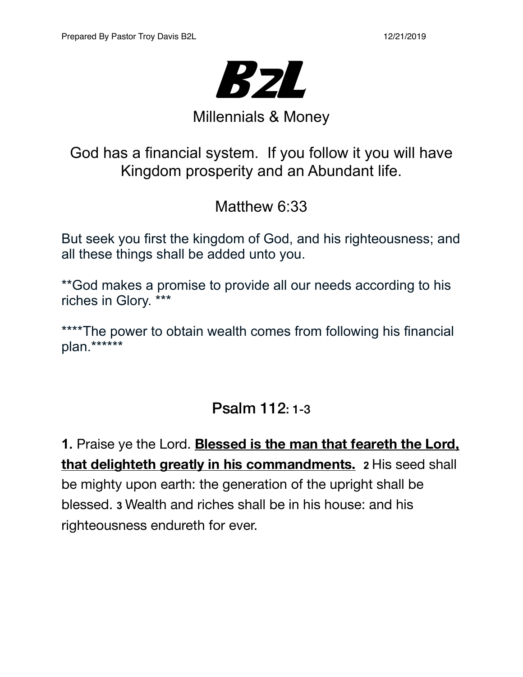

# Millennials & Money

God has a financial system. If you follow it you will have Kingdom prosperity and an Abundant life.

Matthew 6:33

But seek you first the kingdom of God, and his righteousness; and all these things shall be added unto you.

\*\*God makes a promise to provide all our needs according to his riches in Glory. \*\*\*

\*\*\*\*The power to obtain wealth comes from following his financial plan.\*\*\*\*\*\*

## Psalm 112: 1-3

**1.** Praise ye the Lord. **Blessed is the man that feareth the Lord, that delighteth greatly in his commandments. 2** His seed shall be mighty upon earth: the generation of the upright shall be blessed. **3** Wealth and riches shall be in his house: and his righteousness endureth for ever.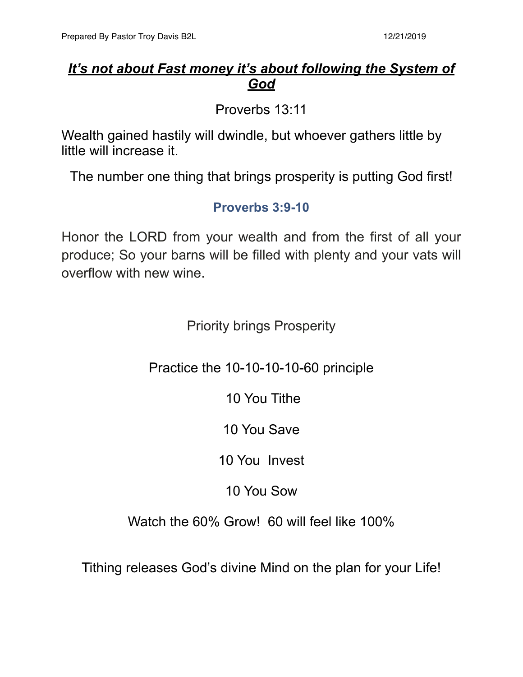#### *It's not about Fast money it's about following the System of God*

Proverbs 13:11

Wealth gained hastily will dwindle, but whoever gathers little by little will increase it.

The number one thing that brings prosperity is putting God first!

#### **Proverbs 3:9-10**

Honor the LORD from your wealth and from the first of all your produce; So your barns will be filled with plenty and your vats will overflow with new wine.

Priority brings Prosperity

Practice the 10-10-10-10-60 principle

10 You Tithe

10 You Save

10 You Invest

10 You Sow

Watch the 60% Grow! 60 will feel like 100%

Tithing releases God's divine Mind on the plan for your Life!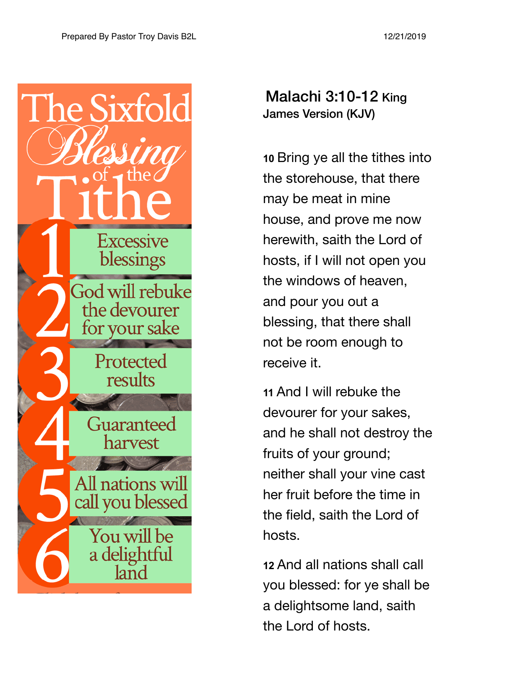

Malachi 3:10-12 King James Version (KJV)

**10** Bring ye all the tithes into the storehouse, that there may be meat in mine house, and prove me now herewith, saith the Lord of hosts, if I will not open you the windows of heaven, and pour you out a blessing, that there shall not be room enough to receive it.

**11** And I will rebuke the devourer for your sakes, and he shall not destroy the fruits of your ground; neither shall your vine cast her fruit before the time in the field, saith the Lord of hosts.

**12** And all nations shall call you blessed: for ye shall be a delightsome land, saith the Lord of hosts.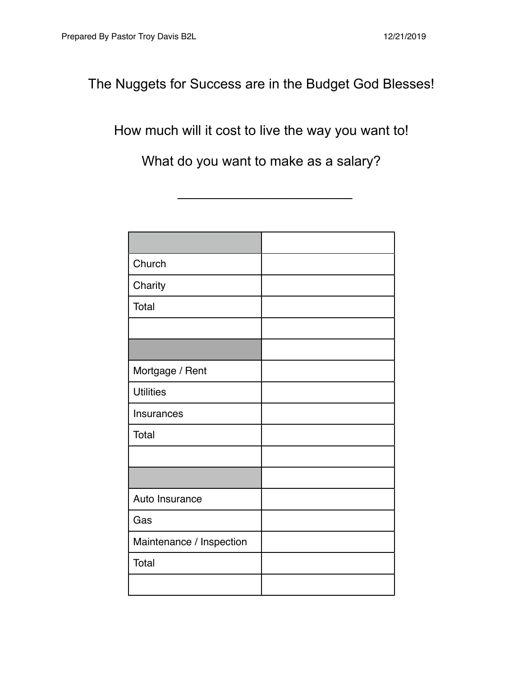The Nuggets for Success are in the Budget God Blesses!

## How much will it cost to live the way you want to!

What do you want to make as a salary?

 $\overline{\phantom{a}}$  , which is a set of the set of the set of the set of the set of the set of the set of the set of the set of the set of the set of the set of the set of the set of the set of the set of the set of the set of th

| Church                   |  |
|--------------------------|--|
| Charity                  |  |
| Total                    |  |
|                          |  |
|                          |  |
| Mortgage / Rent          |  |
| <b>Utilities</b>         |  |
| Insurances               |  |
| Total                    |  |
|                          |  |
|                          |  |
| Auto Insurance           |  |
| Gas                      |  |
| Maintenance / Inspection |  |
| Total                    |  |
|                          |  |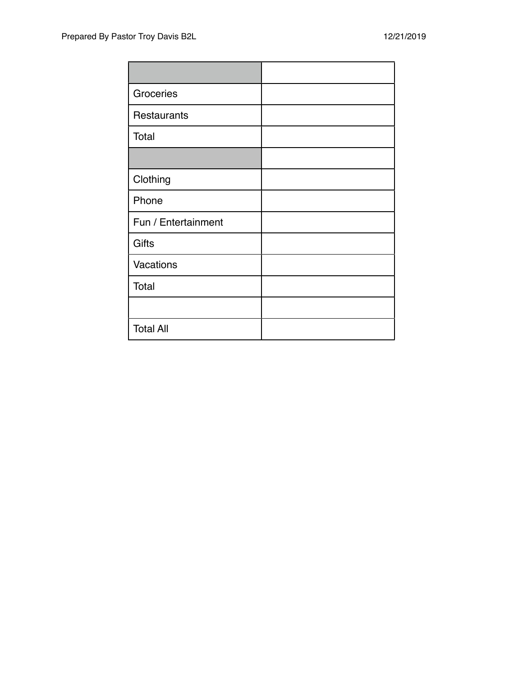| Groceries           |  |
|---------------------|--|
| Restaurants         |  |
| Total               |  |
|                     |  |
| Clothing            |  |
| Phone               |  |
| Fun / Entertainment |  |
| <b>Gifts</b>        |  |
| Vacations           |  |
| Total               |  |
|                     |  |
| <b>Total All</b>    |  |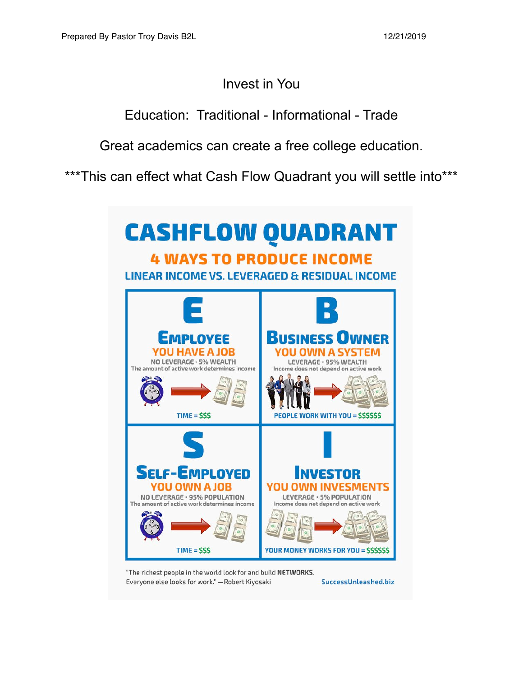### Invest in You

Education: Traditional - Informational - Trade

Great academics can create a free college education.

\*\*\*This can effect what Cash Flow Quadrant you will settle into\*\*\*



"The richest people in the world look for and build NETWORKS. Everyone else looks for work." - Robert Kiyosaki SuccessUnleashed.biz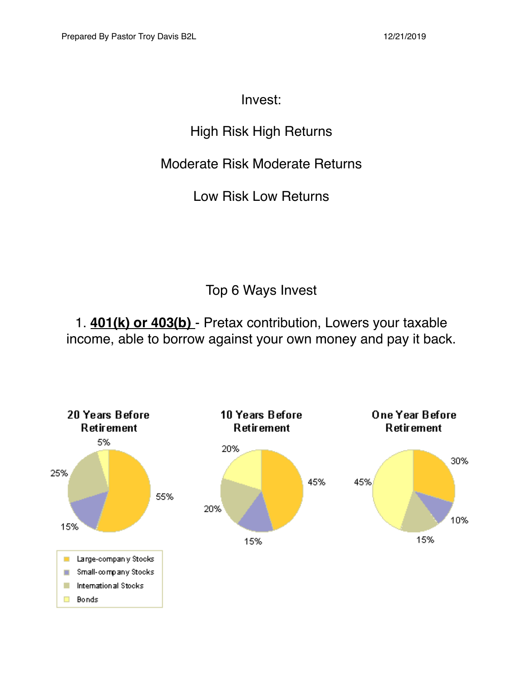### Invest:

## High Risk High Returns

### Moderate Risk Moderate Returns

Low Risk Low Returns

Top 6 Ways Invest

1. **401(k) or 403(b)** - Pretax contribution, Lowers your taxable income, able to borrow against your own money and pay it back.

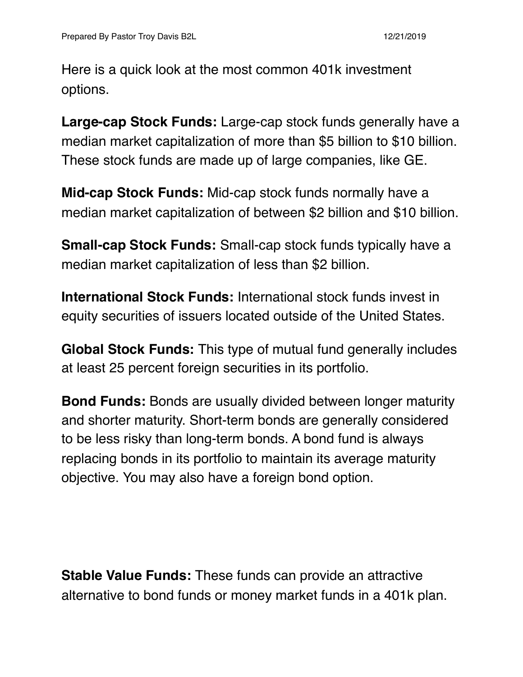Here is a quick look at the most common 401k investment options.

**Large-cap Stock Funds:** Large-cap stock funds generally have a median market capitalization of more than \$5 billion to \$10 billion. These stock funds are made up of large companies, like GE.

**Mid-cap Stock Funds:** Mid-cap stock funds normally have a median market capitalization of between \$2 billion and \$10 billion.

**Small-cap Stock Funds:** Small-cap stock funds typically have a median market capitalization of less than \$2 billion.

**International Stock Funds:** International stock funds invest in equity securities of issuers located outside of the United States.

**Global Stock Funds:** This type of mutual fund generally includes at least 25 percent foreign securities in its portfolio.

**Bond Funds:** Bonds are usually divided between longer maturity and shorter maturity. Short-term bonds are generally considered to be less risky than long-term bonds. A bond fund is always replacing bonds in its portfolio to maintain its average maturity objective. You may also have a foreign bond option.

**Stable Value Funds:** These funds can provide an attractive alternative to bond funds or money market funds in a 401k plan.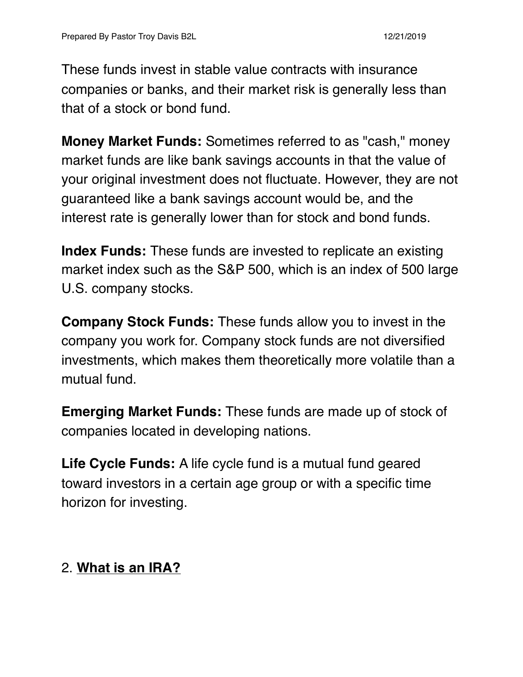These funds invest in stable value contracts with insurance companies or banks, and their market risk is generally less than that of a stock or bond fund.

**Money Market Funds:** Sometimes referred to as "cash," money market funds are like bank savings accounts in that the value of your original investment does not fluctuate. However, they are not guaranteed like a bank savings account would be, and the interest rate is generally lower than for stock and bond funds.

**Index Funds:** These funds are invested to replicate an existing market index such as the S&P 500, which is an index of 500 large U.S. company stocks.

**Company Stock Funds:** These funds allow you to invest in the company you work for. Company stock funds are not diversified investments, which makes them theoretically more volatile than a mutual fund.

**Emerging Market Funds:** These funds are made up of stock of companies located in developing nations.

**Life Cycle Funds:** A life cycle fund is a mutual fund geared toward investors in a certain age group or with a specific time horizon for investing.

### 2. **What is an IRA?**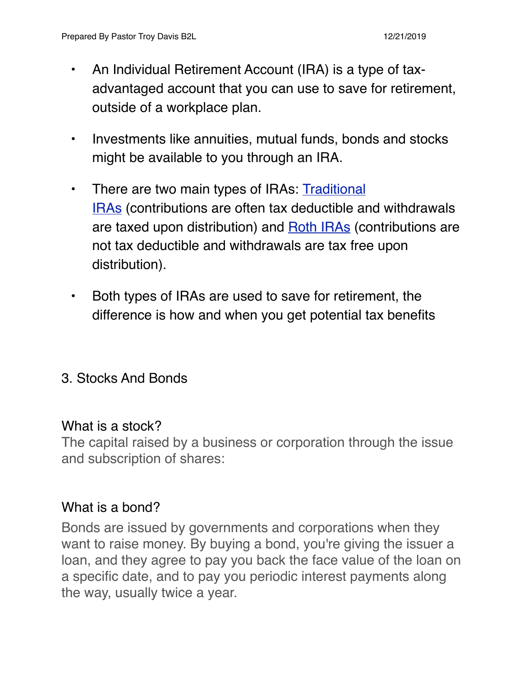- An Individual Retirement Account (IRA) is a type of taxadvantaged account that you can use to save for retirement, outside of a workplace plan.
- Investments like annuities, mutual funds, bonds and stocks might be available to you through an IRA.
- There are two main types of IRAs: Traditional [IRAs](https://www.tiaa.org/public/retire/financial-products/iras/traditional-ira) (contributions are often tax deductible and withdrawals are taxed upon distribution) and [Roth IRAs](https://www.tiaa.org/public/retire/financial-products/iras/roth-ira) (contributions are not tax deductible and withdrawals are tax free upon distribution).
- Both types of IRAs are used to save for retirement, the difference is how and when you get potential tax benefits

### 3. Stocks And Bonds

#### What is a stock?

The capital raised by a business or corporation through the issue and subscription of shares:

#### [What is a bond?](https://investor.vanguard.com/investing/investment/what-is-a-bond)

Bonds are issued by governments and corporations when they want to raise money. By buying a bond, you're giving the issuer a loan, and they agree to pay you back the face value of the loan on a specific date, and to pay you periodic interest payments along the way, usually twice a year.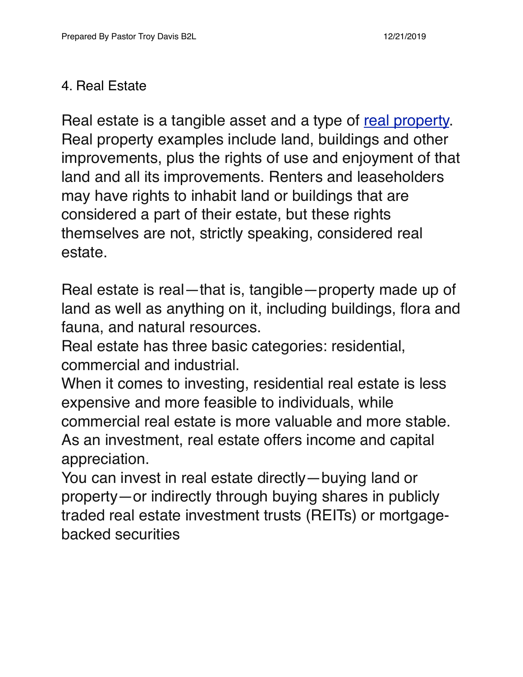### 4. Real Estate

Real estate is a tangible asset and a type of [real property.](https://www.investopedia.com/terms/r/real-property.asp) Real property examples include land, buildings and other improvements, plus the rights of use and enjoyment of that land and all its improvements. Renters and leaseholders may have rights to inhabit land or buildings that are considered a part of their estate, but these rights themselves are not, strictly speaking, considered real estate.

Real estate is real—that is, tangible—property made up of land as well as anything on it, including buildings, flora and fauna, and natural resources.

Real estate has three basic categories: residential, commercial and industrial.

When it comes to investing, residential real estate is less expensive and more feasible to individuals, while commercial real estate is more valuable and more stable. As an investment, real estate offers income and capital appreciation.

You can invest in real estate directly—buying land or property—or indirectly through buying shares in publicly traded real estate investment trusts (REITs) or mortgagebacked securities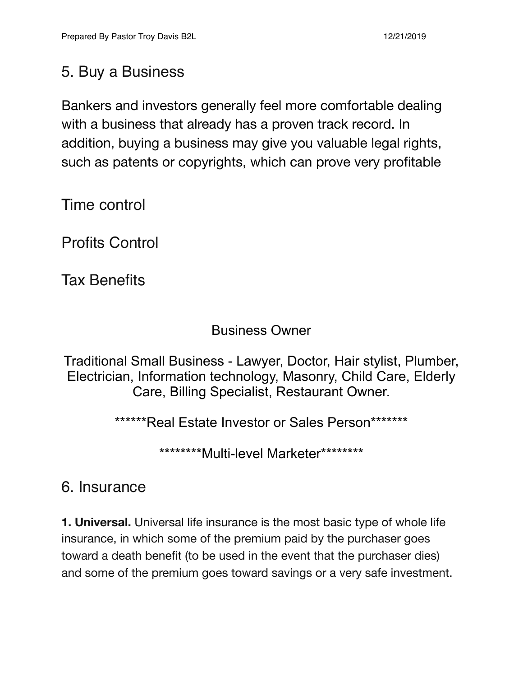## 5. Buy a Business

Bankers and investors generally feel more comfortable dealing with a business that already has a proven track record. In addition, buying a business may give you valuable legal rights, such as patents or copyrights, which can prove very profitable

Time control

Profits Control

Tax Benefits

#### Business Owner

Traditional Small Business - Lawyer, Doctor, Hair stylist, Plumber, Electrician, Information technology, Masonry, Child Care, Elderly Care, Billing Specialist, Restaurant Owner.

\*\*\*\*\*\*Real Estate Investor or Sales Person\*\*\*\*\*\*\*

\*\*\*\*\*\*\*\*Multi-level Marketer\*\*\*\*\*\*\*\*

## 6. Insurance

**1. Universal.** Universal life insurance is the most basic type of whole life insurance, in which some of the premium paid by the purchaser goes toward a death benefit (to be used in the event that the purchaser dies) and some of the premium goes toward savings or a very safe investment.